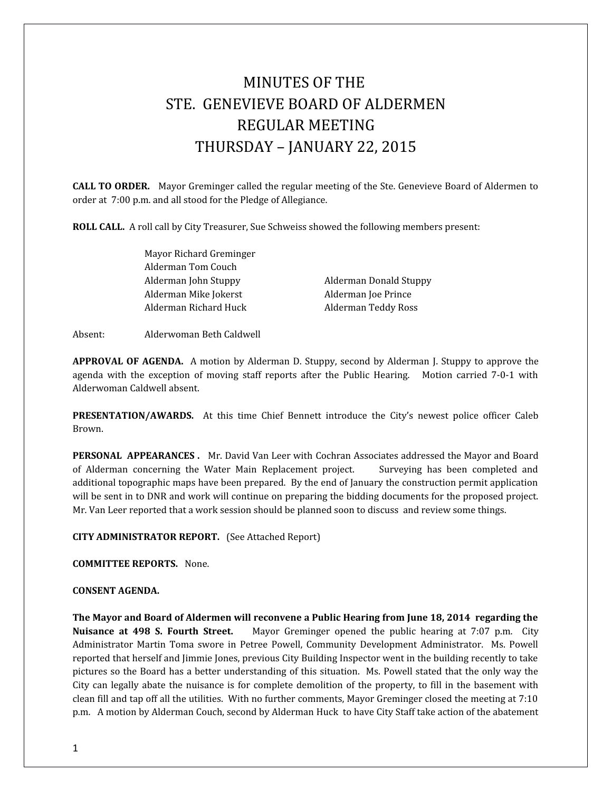# MINUTES OF THE STE. GENEVIEVE BOARD OF ALDERMEN REGULAR MEETING THURSDAY – JANUARY 22, 2015

**CALL TO ORDER.** Mayor Greminger called the regular meeting of the Ste. Genevieve Board of Aldermen to order at 7:00 p.m. and all stood for the Pledge of Allegiance.

**ROLL CALL.** A roll call by City Treasurer, Sue Schweiss showed the following members present:

Mayor Richard Greminger Alderman Tom Couch Alderman John Stuppy Alderman Donald Stuppy Alderman Mike Jokerst Alderman Joe Prince Alderman Richard Huck Alderman Teddy Ross

Absent: Alderwoman Beth Caldwell

**APPROVAL OF AGENDA.** A motion by Alderman D. Stuppy, second by Alderman J. Stuppy to approve the agenda with the exception of moving staff reports after the Public Hearing. Motion carried 7-0-1 with Alderwoman Caldwell absent.

**PRESENTATION/AWARDS.** At this time Chief Bennett introduce the City's newest police officer Caleb Brown.

**PERSONAL APPEARANCES .** Mr. David Van Leer with Cochran Associates addressed the Mayor and Board of Alderman concerning the Water Main Replacement project. Surveying has been completed and additional topographic maps have been prepared. By the end of January the construction permit application will be sent in to DNR and work will continue on preparing the bidding documents for the proposed project. Mr. Van Leer reported that a work session should be planned soon to discuss and review some things.

**CITY ADMINISTRATOR REPORT.** (See Attached Report)

**COMMITTEE REPORTS.** None.

#### **CONSENT AGENDA.**

**The Mayor and Board of Aldermen will reconvene a Public Hearing from June 18, 2014 regarding the Nuisance at 498 S. Fourth Street.** Mayor Greminger opened the public hearing at 7:07 p.m. City Administrator Martin Toma swore in Petree Powell, Community Development Administrator. Ms. Powell reported that herself and Jimmie Jones, previous City Building Inspector went in the building recently to take pictures so the Board has a better understanding of this situation. Ms. Powell stated that the only way the City can legally abate the nuisance is for complete demolition of the property, to fill in the basement with clean fill and tap off all the utilities. With no further comments, Mayor Greminger closed the meeting at 7:10 p.m. A motion by Alderman Couch, second by Alderman Huck to have City Staff take action of the abatement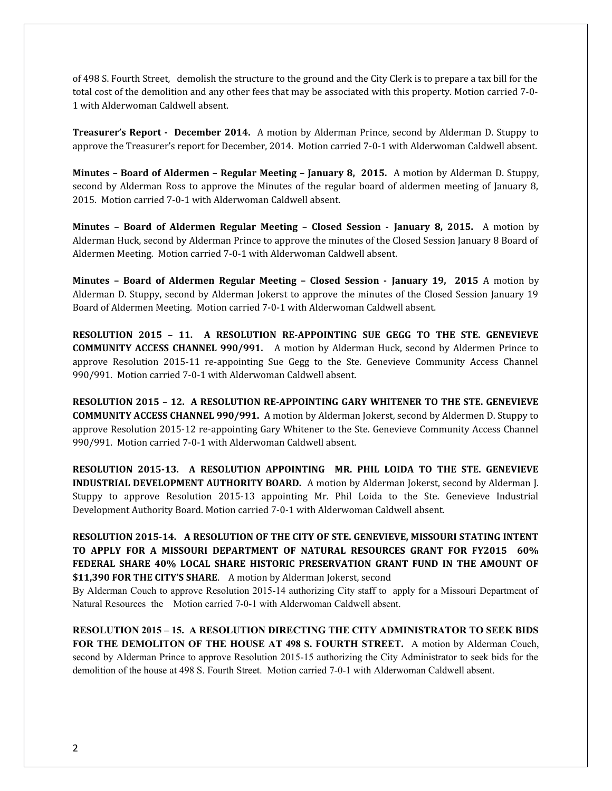of 498 S. Fourth Street, demolish the structure to the ground and the City Clerk is to prepare a tax bill for the total cost of the demolition and any other fees that may be associated with this property. Motion carried 7-0- 1 with Alderwoman Caldwell absent.

**Treasurer's Report - December 2014.** A motion by Alderman Prince, second by Alderman D. Stuppy to approve the Treasurer's report for December, 2014. Motion carried 7-0-1 with Alderwoman Caldwell absent.

**Minutes – Board of Aldermen – Regular Meeting – January 8, 2015.** A motion by Alderman D. Stuppy, second by Alderman Ross to approve the Minutes of the regular board of aldermen meeting of January 8, 2015. Motion carried 7-0-1 with Alderwoman Caldwell absent.

**Minutes – Board of Aldermen Regular Meeting – Closed Session - January 8, 2015.** A motion by Alderman Huck, second by Alderman Prince to approve the minutes of the Closed Session January 8 Board of Aldermen Meeting. Motion carried 7-0-1 with Alderwoman Caldwell absent.

**Minutes – Board of Aldermen Regular Meeting – Closed Session - January 19, 2015** A motion by Alderman D. Stuppy, second by Alderman Jokerst to approve the minutes of the Closed Session January 19 Board of Aldermen Meeting. Motion carried 7-0-1 with Alderwoman Caldwell absent.

**RESOLUTION 2015 – 11. A RESOLUTION RE-APPOINTING SUE GEGG TO THE STE. GENEVIEVE COMMUNITY ACCESS CHANNEL 990/991.** A motion by Alderman Huck, second by Aldermen Prince to approve Resolution 2015-11 re-appointing Sue Gegg to the Ste. Genevieve Community Access Channel 990/991. Motion carried 7-0-1 with Alderwoman Caldwell absent.

**RESOLUTION 2015 – 12. A RESOLUTION RE-APPOINTING GARY WHITENER TO THE STE. GENEVIEVE COMMUNITY ACCESS CHANNEL 990/991.** A motion by Alderman Jokerst, second by Aldermen D. Stuppy to approve Resolution 2015-12 re-appointing Gary Whitener to the Ste. Genevieve Community Access Channel 990/991. Motion carried 7-0-1 with Alderwoman Caldwell absent.

**RESOLUTION 2015-13. A RESOLUTION APPOINTING MR. PHIL LOIDA TO THE STE. GENEVIEVE INDUSTRIAL DEVELOPMENT AUTHORITY BOARD.** A motion by Alderman Jokerst, second by Alderman J. Stuppy to approve Resolution 2015-13 appointing Mr. Phil Loida to the Ste. Genevieve Industrial Development Authority Board. Motion carried 7-0-1 with Alderwoman Caldwell absent.

**RESOLUTION 2015-14. A RESOLUTION OF THE CITY OF STE. GENEVIEVE, MISSOURI STATING INTENT TO APPLY FOR A MISSOURI DEPARTMENT OF NATURAL RESOURCES GRANT FOR FY2015 60% FEDERAL SHARE 40% LOCAL SHARE HISTORIC PRESERVATION GRANT FUND IN THE AMOUNT OF \$11,390 FOR THE CITY'S SHARE**. A motion by Alderman Jokerst, second

By Alderman Couch to approve Resolution 2015-14 authorizing City staff to apply for a Missouri Department of Natural Resources the Motion carried 7-0-1 with Alderwoman Caldwell absent.

**RESOLUTION 2015 – 15. A RESOLUTION DIRECTING THE CITY ADMINISTRATOR TO SEEK BIDS FOR THE DEMOLITON OF THE HOUSE AT 498 S. FOURTH STREET.** A motion by Alderman Couch, second by Alderman Prince to approve Resolution 2015-15 authorizing the City Administrator to seek bids for the demolition of the house at 498 S. Fourth Street. Motion carried 7-0-1 with Alderwoman Caldwell absent.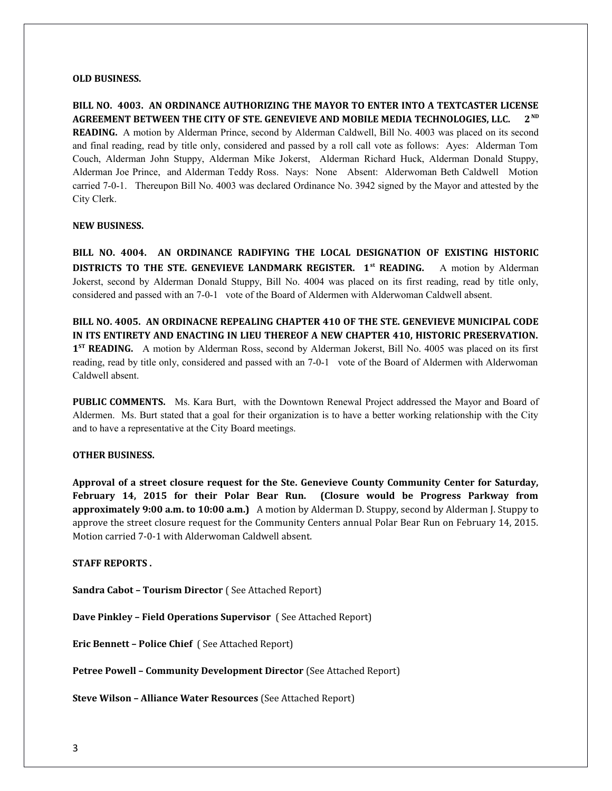### **OLD BUSINESS.**

**BILL NO. 4003. AN ORDINANCE AUTHORIZING THE MAYOR TO ENTER INTO A TEXTCASTER LICENSE AGREEMENT BETWEEN THE CITY OF STE. GENEVIEVE AND MOBILE MEDIA TECHNOLOGIES, LLC. 2ND READING.** A motion by Alderman Prince, second by Alderman Caldwell, Bill No. 4003 was placed on its second and final reading, read by title only, considered and passed by a roll call vote as follows: Ayes: Alderman Tom Couch, Alderman John Stuppy, Alderman Mike Jokerst, Alderman Richard Huck, Alderman Donald Stuppy, Alderman Joe Prince, and Alderman Teddy Ross. Nays: None Absent: Alderwoman Beth Caldwell Motion carried 7-0-1. Thereupon Bill No. 4003 was declared Ordinance No. 3942 signed by the Mayor and attested by the City Clerk.

### **NEW BUSINESS.**

**BILL NO. 4004. AN ORDINANCE RADIFYING THE LOCAL DESIGNATION OF EXISTING HISTORIC DISTRICTS TO THE STE. GENEVIEVE LANDMARK REGISTER. 1st READING.** A motion by Alderman Jokerst, second by Alderman Donald Stuppy, Bill No. 4004 was placed on its first reading, read by title only, considered and passed with an 7-0-1 vote of the Board of Aldermen with Alderwoman Caldwell absent.

**BILL NO. 4005. AN ORDINACNE REPEALING CHAPTER 410 OF THE STE. GENEVIEVE MUNICIPAL CODE IN ITS ENTIRETY AND ENACTING IN LIEU THEREOF A NEW CHAPTER 410, HISTORIC PRESERVATION. 1<sup>st</sup> READING.** A motion by Alderman Ross, second by Alderman Jokerst, Bill No. 4005 was placed on its first reading, read by title only, considered and passed with an 7-0-1 vote of the Board of Aldermen with Alderwoman Caldwell absent.

**PUBLIC COMMENTS.** Ms. Kara Burt, with the Downtown Renewal Project addressed the Mayor and Board of Aldermen. Ms. Burt stated that a goal for their organization is to have a better working relationship with the City and to have a representative at the City Board meetings.

# **OTHER BUSINESS.**

**Approval of a street closure request for the Ste. Genevieve County Community Center for Saturday, February 14, 2015 for their Polar Bear Run. (Closure would be Progress Parkway from approximately 9:00 a.m. to 10:00 a.m.)** A motion by Alderman D. Stuppy, second by Alderman J. Stuppy to approve the street closure request for the Community Centers annual Polar Bear Run on February 14, 2015. Motion carried 7-0-1 with Alderwoman Caldwell absent.

**STAFF REPORTS .** 

**Sandra Cabot – Tourism Director** ( See Attached Report)

**Dave Pinkley – Field Operations Supervisor** ( See Attached Report)

**Eric Bennett – Police Chief** ( See Attached Report)

**Petree Powell – Community Development Director** (See Attached Report)

**Steve Wilson – Alliance Water Resources** (See Attached Report)